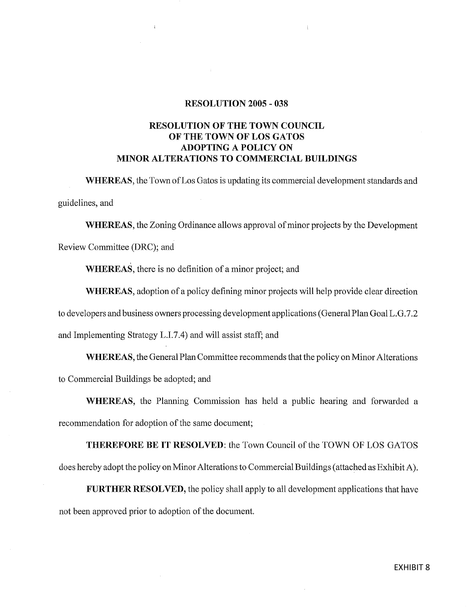#### RESOLUTION 2005 - 038

 $\mathbf{I}$ 

# RESOLUTION OF THE TOWN COUNCIL OF THE TOWN OF LOS GATOS ADOPTING A POLICY ON MINOR ALTERATIONS TO COMMERCIAL BUILDINGS

WHEREAS, the Town of Los Gatos is updating its commercial development standards and guidelines, and

WHEREAS, the Zoning Ordinance allows approval of minor projects by the Development Review Committee (DRC); and

WHEREAS, there is no definition of <sup>a</sup> minor project; and

WHEREAS, adoption of <sup>a</sup> policy defining minor projects will help provide clear direction to developers and business owners processing development applications (General Plan Goal L.G.7.2 and Implementing Strategy L.I.7.4) and will assist staff; and

WHEREAS, the General Plan Committee recommends that the policy on Minor Alterations to Commercial Buildings be adopted; and

WHEREAS, the Planning Commission has held a public hearing and forwarded a recommendation for adoption of the same document;

THEREFORE BE IT RESOLVED: the Town Council of the TOWN OF LOS GATOS does hereby adopt the policy on Minor Alterations to Commercial Buildings (attached as Exhibit A).

FURTHER RESOLVED, the policy shall apply to all development applications that have not been approved prior to adoption of the document.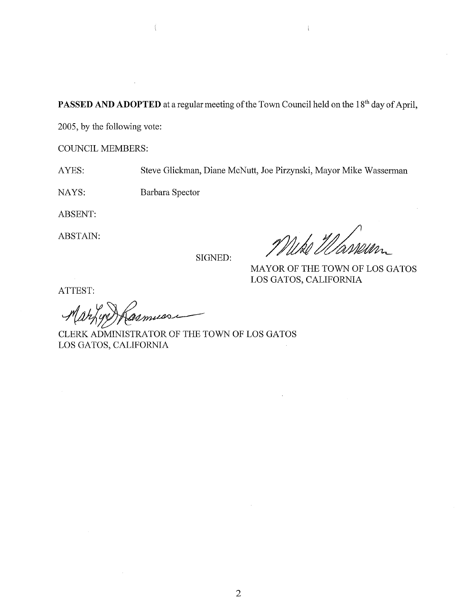**PASSED AND ADOPTED** at a regular meeting of the Town Council held on the  $18<sup>th</sup>$  day of April,

2005, by the following vote:

COUNCIL MEMBERS:

AYES: Steve Glickman, Diane McNutt, Joe Pirzynski, Mayor Mike Wasserman

NAYS: Barbara Spector

J.

 $\left\{ \right.$ 

ABSENT:

ABSTAIN:

SIGNED:

 $\frac{1}{3}$ 

MAYOR OF THE TOWN OF LOS GATOS LOS GATOS, CALIFORNIA

ATTEST:

muss

CLERK ADMINISTRATOR OF THE TOWN OF LOS GATOS LOS GATOS, CALIFORNIA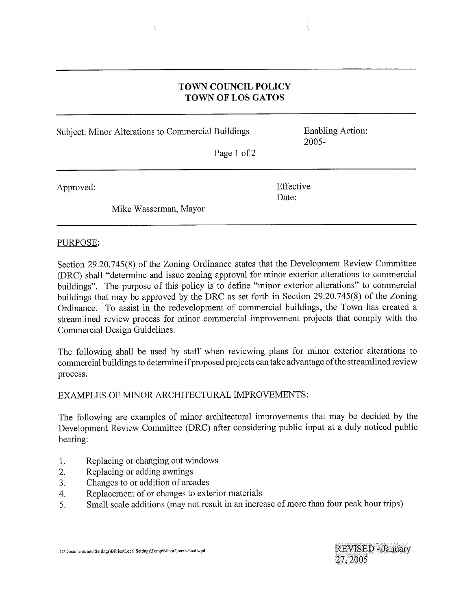# TOWN COUNCIL POLICY TOWN OF LOS GATOS

 $\mathbf{f}$ 

ť

| Subject: Minor Alterations to Commercial Buildings |                       | <b>Enabling Action:</b> |
|----------------------------------------------------|-----------------------|-------------------------|
|                                                    | Page 1 of 2           | $2005 -$                |
| Approved:                                          |                       | Effective<br>Date:      |
|                                                    | Mike Wasserman, Mayor |                         |

#### PURPOSE

Section 29.20.745(8) of the Zoning Ordinance states that the Development Review Committee DRC) shall "determine and issue zoning approval for minor exterior alterations to commercial buildings". The purpose of this policy is to define "minor exterior alterations" to commercial (DRC) shall "determine and issue zoning approval for minor exterior alterations to commercial<br>buildings". The purpose of this policy is to define "minor exterior alterations" to commercial<br>buildings that may be approved by Ordinance. To assist in the redevelopment of commercial buildings, the Town has created a streamlined review process for minor commercial improvement projects that comply with the Commercial Design Guidelines.

The following shall be used by staff when reviewing plans for minor exterior alterations to commercial buildings to determine if proposed projects can take advantage of the streamlined review process.

EXAMPLES OF MINOR ARCHITECTURAL IMPROVEMENTS:

The following are examples of minor architectural improvements that may be decided by the Development Review Committee (DRC) after considering public input at a duly noticed public hearing:

- 1. Replacing or changing out windows<br>2. Replacing or adding awnings
- Replacing or adding awnings
- 3. Changes to or addition of arcades<br>4. Replacement of or changes to exte
- 4. Replacement of or changes to exterior materials<br>5. Small scale additions (may not result in an incre
- 5. Small scale additions (may not result in an increase of more than four peak hour trips)